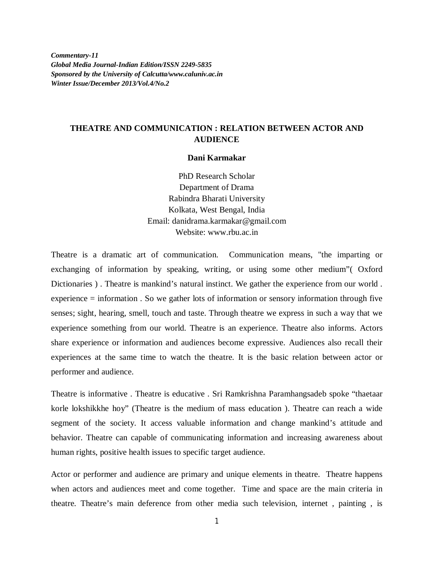*Commentary-11 Global Media Journal-Indian Edition/ISSN 2249-5835 Sponsored by the University of Calcutta/www.caluniv.ac.in Winter Issue/December 2013/Vol.4/No.2*

## **THEATRE AND COMMUNICATION : RELATION BETWEEN ACTOR AND AUDIENCE**

## **Dani Karmakar**

PhD Research Scholar Department of Drama Rabindra Bharati University Kolkata, West Bengal, India Email: danidrama.karmakar@gmail.com Website: www.rbu.ac.in

Theatre is a dramatic art of communication. Communication means, "the imparting or exchanging of information by speaking, writing, or using some other medium"( Oxford Dictionaries ) . Theatre is mankind's natural instinct. We gather the experience from our world . experience = information . So we gather lots of information or sensory information through five senses; sight, hearing, smell, touch and taste. Through theatre we express in such a way that we experience something from our world. Theatre is an experience. Theatre also informs. Actors share experience or information and audiences become expressive. Audiences also recall their experiences at the same time to watch the theatre. It is the basic relation between actor or performer and audience.

Theatre is informative . Theatre is educative . Sri Ramkrishna Paramhangsadeb spoke "thaetaar korle lokshikkhe hoy" (Theatre is the medium of mass education ). Theatre can reach a wide segment of the society. It access valuable information and change mankind's attitude and behavior. Theatre can capable of communicating information and increasing awareness about human rights, positive health issues to specific target audience.

Actor or performer and audience are primary and unique elements in theatre. Theatre happens when actors and audiences meet and come together. Time and space are the main criteria in theatre. Theatre's main deference from other media such television, internet , painting , is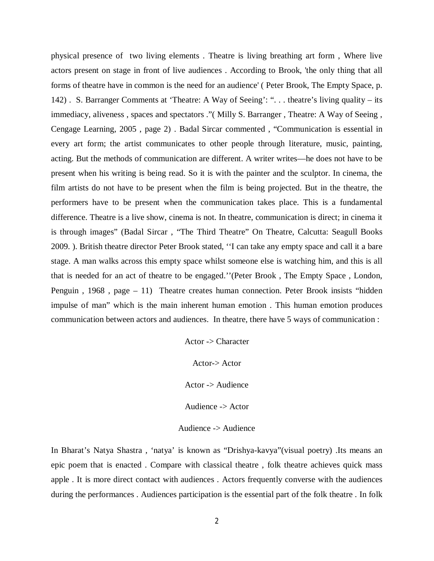physical presence of two living elements . Theatre is living breathing art form , Where live actors present on stage in front of live audiences . According to Brook, 'the only thing that all forms of theatre have in common is the need for an audience' ( Peter Brook, The Empty Space, p. 142) . S. Barranger Comments at 'Theatre: A Way of Seeing': ". . . theatre's living quality – its immediacy, aliveness , spaces and spectators ."( Milly S. Barranger , Theatre: A Way of Seeing , Cengage Learning, 2005 , page 2) . Badal Sircar commented , "Communication is essential in every art form; the artist communicates to other people through literature, music, painting, acting. But the methods of communication are different. A writer writes—he does not have to be present when his writing is being read. So it is with the painter and the sculptor. In cinema, the film artists do not have to be present when the film is being projected. But in the theatre, the performers have to be present when the communication takes place. This is a fundamental difference. Theatre is a live show, cinema is not. In theatre, communication is direct; in cinema it is through images" (Badal Sircar , "The Third Theatre" On Theatre, Calcutta: Seagull Books 2009. ). British theatre director Peter Brook stated, ''I can take any empty space and call it a bare stage. A man walks across this empty space whilst someone else is watching him, and this is all that is needed for an act of theatre to be engaged.''(Peter Brook , The Empty Space , London, Penguin , 1968 , page – 11) Theatre creates human connection. Peter Brook insists "hidden impulse of man" which is the main inherent human emotion . This human emotion produces communication between actors and audiences. In theatre, there have 5 ways of communication :

> Actor -> Character Actor-> Actor Actor -> Audience Audience -> Actor Audience -> Audience

In Bharat's Natya Shastra , 'natya' is known as "Drishya-kavya"(visual poetry) .Its means an epic poem that is enacted . Compare with classical theatre , folk theatre achieves quick mass apple . It is more direct contact with audiences . Actors frequently converse with the audiences during the performances . Audiences participation is the essential part of the folk theatre . In folk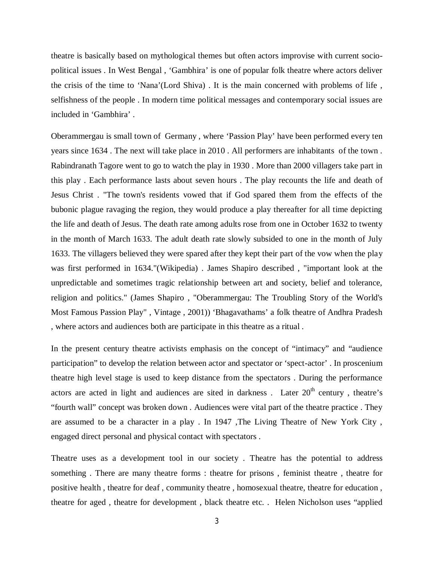theatre is basically based on mythological themes but often actors improvise with current sociopolitical issues . In West Bengal , 'Gambhira' is one of popular folk theatre where actors deliver the crisis of the time to 'Nana'(Lord Shiva) . It is the main concerned with problems of life , selfishness of the people . In modern time political messages and contemporary social issues are included in 'Gambhira' .

Oberammergau is small town of Germany , where 'Passion Play' have been performed every ten years since 1634 . The next will take place in 2010 . All performers are inhabitants of the town . Rabindranath Tagore went to go to watch the play in 1930 . More than 2000 villagers take part in this play . Each performance lasts about seven hours . The play recounts the life and death of Jesus Christ . "The town's residents vowed that if God spared them from the effects of the bubonic plague ravaging the region, they would produce a play thereafter for all time depicting the life and death of Jesus. The death rate among adults rose from one in October 1632 to twenty in the month of March 1633. The adult death rate slowly subsided to one in the month of July 1633. The villagers believed they were spared after they kept their part of the vow when the play was first performed in 1634."(Wikipedia) . James Shapiro described , "important look at the unpredictable and sometimes tragic relationship between art and society, belief and tolerance, religion and politics." (James Shapiro , "Oberammergau: The Troubling Story of the World's Most Famous Passion Play" , Vintage , 2001)) 'Bhagavathams' a folk theatre of Andhra Pradesh , where actors and audiences both are participate in this theatre as a ritual .

In the present century theatre activists emphasis on the concept of "intimacy" and "audience participation" to develop the relation between actor and spectator or 'spect-actor' . In proscenium theatre high level stage is used to keep distance from the spectators . During the performance actors are acted in light and audiences are sited in darkness. Later  $20<sup>th</sup>$  century, theatre's "fourth wall" concept was broken down . Audiences were vital part of the theatre practice . They are assumed to be a character in a play . In 1947 ,The Living Theatre of New York City , engaged direct personal and physical contact with spectators .

Theatre uses as a development tool in our society . Theatre has the potential to address something . There are many theatre forms : theatre for prisons , feminist theatre , theatre for positive health , theatre for deaf , community theatre , homosexual theatre, theatre for education , theatre for aged , theatre for development , black theatre etc. . Helen Nicholson uses "applied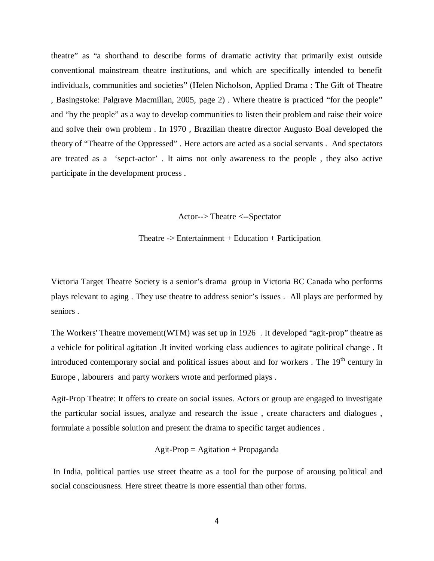theatre" as "a shorthand to describe forms of dramatic activity that primarily exist outside conventional mainstream theatre institutions, and which are specifically intended to benefit individuals, communities and societies" (Helen Nicholson, Applied Drama : The Gift of Theatre , Basingstoke: Palgrave Macmillan, 2005, page 2) . Where theatre is practiced "for the people" and "by the people" as a way to develop communities to listen their problem and raise their voice and solve their own problem . In 1970 , Brazilian theatre director Augusto Boal developed the theory of "Theatre of the Oppressed" . Here actors are acted as a social servants . And spectators are treated as a 'sepct-actor' . It aims not only awareness to the people , they also active participate in the development process .

Actor--> Theatre <--Spectator

Theatre -> Entertainment + Education + Participation

Victoria Target Theatre Society is a senior's drama group in Victoria BC Canada who performs plays relevant to aging . They use theatre to address senior's issues . All plays are performed by seniors .

The Workers' Theatre movement(WTM) was set up in 1926 . It developed "agit-prop" theatre as a vehicle for political agitation .It invited working class audiences to agitate political change . It introduced contemporary social and political issues about and for workers. The  $19<sup>th</sup>$  century in Europe , labourers and party workers wrote and performed plays .

Agit-Prop Theatre: It offers to create on social issues. Actors or group are engaged to investigate the particular social issues, analyze and research the issue , create characters and dialogues , formulate a possible solution and present the drama to specific target audiences .

$$
Agit\text{-}Prop = Agitation + Propaganda
$$

In India, political parties use street theatre as a tool for the purpose of arousing political and social consciousness. Here street theatre is more essential than other forms.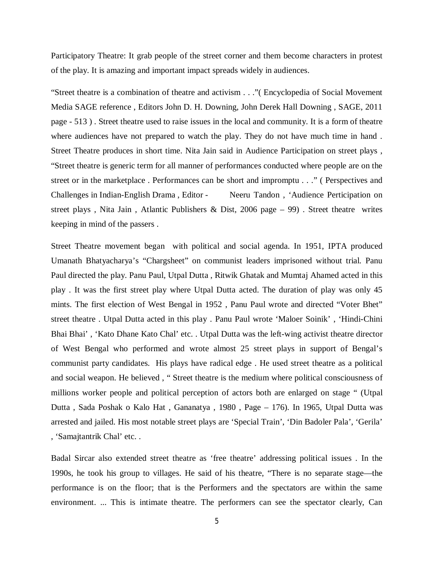Participatory Theatre: It grab people of the street corner and them become characters in protest of the play. It is amazing and important impact spreads widely in audiences.

"Street theatre is a combination of theatre and activism . . ."( Encyclopedia of Social Movement Media SAGE reference , Editors John D. H. Downing, John Derek Hall Downing , SAGE, 2011 page - 513 ) . Street theatre used to raise issues in the local and community. It is a form of theatre where audiences have not prepared to watch the play. They do not have much time in hand . Street Theatre produces in short time. Nita Jain said in Audience Participation on street plays , "Street theatre is generic term for all manner of performances conducted where people are on the street or in the marketplace . Performances can be short and impromptu . . ." ( Perspectives and Challenges in Indian-English Drama , Editor - Neeru Tandon , 'Audience Perticipation on street plays, Nita Jain, Atlantic Publishers & Dist, 2006 page  $-99$ ). Street theatre writes keeping in mind of the passers .

Street Theatre movement began with political and social agenda. In 1951, IPTA produced Umanath Bhatyacharya's "Chargsheet" on communist leaders imprisoned without trial. Panu Paul directed the play. Panu Paul, Utpal Dutta , Ritwik Ghatak and Mumtaj Ahamed acted in this play . It was the first street play where Utpal Dutta acted. The duration of play was only 45 mints. The first election of West Bengal in 1952 , Panu Paul wrote and directed "Voter Bhet" street theatre . Utpal Dutta acted in this play . Panu Paul wrote 'Maloer Soinik' , 'Hindi-Chini Bhai Bhai', 'Kato Dhane Kato Chal' etc. . Utpal Dutta was the left-wing activist theatre director of West Bengal who performed and wrote almost 25 street plays in support of Bengal's communist party candidates. His plays have radical edge . He used street theatre as a political and social weapon. He believed , " Street theatre is the medium where political consciousness of millions worker people and political perception of actors both are enlarged on stage " (Utpal Dutta , Sada Poshak o Kalo Hat , Gananatya , 1980 , Page – 176). In 1965, Utpal Dutta was arrested and jailed. His most notable street plays are 'Special Train', 'Din Badoler Pala', 'Gerila' , 'Samajtantrik Chal' etc. .

Badal Sircar also extended street theatre as 'free theatre' addressing political issues . In the 1990s, he took his group to villages. He said of his theatre, "There is no separate stage—the performance is on the floor; that is the Performers and the spectators are within the same environment. ... This is intimate theatre. The performers can see the spectator clearly, Can